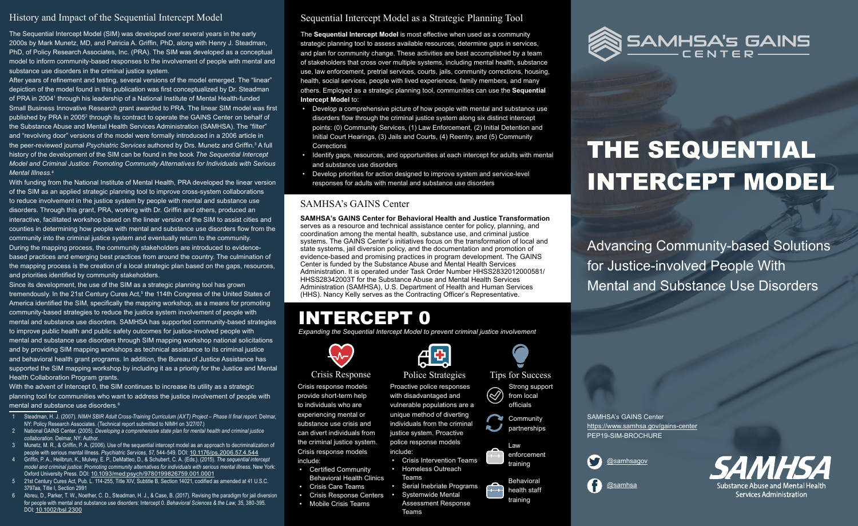# THE SEQUENTIAL INTERCEPT MODEL

Advancing Community-based Solutions for Justice-involved People With Mental and Substance Use Disorders

SAMHSA's GAINS Center <https://www.samhsa.gov/gains-center> PEP19-SIM-BROCHURE



[@samhsagov](https://twitter.com/samhsagov)





#### History and Impact of the Sequential Intercept Model

The Sequential Intercept Model (SIM) was developed over several years in the early 2000s by Mark Munetz, MD, and Patricia A. Griffin, PhD, along with Henry J. Steadman, PhD, of Policy Research Associates, Inc. (PRA). The SIM was developed as a conceptual model to inform community-based responses to the involvement of people with mental and substance use disorders in the criminal justice system.

After years of refinement and testing, several versions of the model emerged. The "linear" depiction of the model found in this publication was first conceptualized by Dr. Steadman of PRA in 20041 through his leadership of a National Institute of Mental Health-funded Small Business Innovative Research grant awarded to PRA. The linear SIM model was first published by PRA in 2005<sup>2</sup> through its contract to operate the GAINS Center on behalf of the Substance Abuse and Mental Health Services Administration (SAMHSA). The "filter" and "revolving door" versions of the model were formally introduced in a 2006 article in the peer-reviewed journal *Psychiatric Services* authored by Drs. Munetz and Griffin.<sup>3</sup> A full history of the development of the SIM can be found in the book *The Sequential Intercept Model and Criminal Justice: Promoting Community Alternatives for Individuals with Serious Mental Illness.*<sup>4</sup>

With the advent of Intercept 0, the SIM continues to increase its utility as a strategic planning tool for communities who want to address the justice involvement of people with mental and substance use disorders.<sup>6</sup>

With funding from the National Institute of Mental Health, PRA developed the linear version of the SIM as an applied strategic planning tool to improve cross-system collaborations to reduce involvement in the justice system by people with mental and substance use disorders. Through this grant, PRA, working with Dr. Griffin and others, produced an interactive, facilitated workshop based on the linear version of the SIM to assist cities and counties in determining how people with mental and substance use disorders flow from the community into the criminal justice system and eventually return to the community. During the mapping process, the community stakeholders are introduced to evidencebased practices and emerging best practices from around the country. The culmination of the mapping process is the creation of a local strategic plan based on the gaps, resources, and priorities identified by community stakeholders.

Since its development, the use of the SIM as a strategic planning tool has grown tremendously. In the 21st Century Cures Act,<sup>5</sup> the 114th Congress of the United States of America identified the SIM, specifically the mapping workshop, as a means for promoting community-based strategies to reduce the justice system involvement of people with mental and substance use disorders. SAMHSA has supported community-based strategies to improve public health and public safety outcomes for justice-involved people with mental and substance use disorders through SIM mapping workshop national solicitations and by providing SIM mapping workshops as technical assistance to its criminal justice and behavioral health grant programs. In addition, the Bureau of Justice Assistance has supported the SIM mapping workshop by including it as a priority for the Justice and Mental Health Collaboration Program grants.

> **Community** partnerships

- 1 Steadman, H. J. (2007). *NIMH SBIR Adult Cross-Training Curriculum (AXT) Project Phase II final report.* Delmar, NY: Policy Research Associates. (Technical report submitted to NIMH on 3/27/07.)
- 2 National GAINS Center. (2005). *Developing a comprehensive state plan for mental health and criminal justice collaboration.* Delmar, NY: Author.
- 3 Munetz, M. R., & Griffin, P. A. (2006). Use of the sequential intercept model as an approach to decriminalization of people with serious mental illness. *Psychiatric Services, 57,* 544-549. DOI: [10.1176/ps.2006.57.4.544](https://doi.org/10.1176/ps.2006.57.4.544)
- 4 Griffin, P. A., Heilbrun, K., Mulvey, E. P., DeMatteo, D., & Schubert, C. A. (Eds.). (2015). *The sequential intercept model and criminal justice: Promoting community alternatives for individuals with serious mental illness.* New York: Oxford University Press. DOI: [10.1093/med:psych/9780199826759.001.0001](https://doi.org/10.1093/med:psych/9780199826759.001.0001)
- 21st Century Cures Act, Pub. L. 114-255, Title XIV, Subtitle B, Section 14021, codified as amended at 41 U.S.C. 3797aa, Title I, Section 2991
- Abreu, D., Parker, T. W., Noether, C. D., Steadman, H. J., & Case, B. (2017). Revising the paradigm for jail diversion for people with mental and substance use disorders: Intercept 0. *Behavioral Sciences & the Law, 35*, 380-395*.*  DOI: [10.1002/bsl.2300](https://doi.org/10.1002/bsl.2300)

### Sequential Intercept Model as a Strategic Planning Tool

The **Sequential Intercept Model** is most effective when used as a community strategic planning tool to assess available resources, determine gaps in services, and plan for community change. These activities are best accomplished by a team of stakeholders that cross over multiple systems, including mental health, substance use, law enforcement, pretrial services, courts, jails, community corrections, housing, health, social services, people with lived experiences, family members, and many others. Employed as a strategic planning tool, communities can use the **Sequential Intercept Model** to:

- Develop a comprehensive picture of how people with mental and substance use disorders flow through the criminal justice system along six distinct intercept points: (0) Community Services, (1) Law Enforcement, (2) Initial Detention and Initial Court Hearings, (3) Jails and Courts, (4) Reentry, and (5) Community **Corrections**
- Identify gaps, resources, and opportunities at each intercept for adults with mental and substance use disorders
- Develop priorities for action designed to improve system and service-level responses for adults with mental and substance use disorders

#### SAMHSA's GAINS Center

**SAMHSA's GAINS Center for Behavioral Health and Justice Transformation** serves as a resource and technical assistance center for policy, planning, and coordination among the mental health, substance use, and criminal justice systems. The GAINS Center's initiatives focus on the transformation of local and state systems, jail diversion policy, and the documentation and promotion of evidence-based and promising practices in program development. The GAINS Center is funded by the Substance Abuse and Mental Health Services Administration. It is operated under Task Order Number HHSS2832012000581/ HHSS28342003T for the Substance Abuse and Mental Health Services Administration (SAMHSA), U.S. Department of Health and Human Services (HHS). Nancy Kelly serves as the Contracting Officer's Representative.

## INTERCEPT 0

*Expanding the Sequential Intercept Model to prevent criminal justice involvement*

#### Crisis Response

Crisis response models provide short-term help to individuals who are experiencing mental or substance use crisis and can divert individuals from the criminal justice system. Crisis response models include:

- Certified Community Behavioral Health Clinics
- Crisis Care Teams
- Crisis Response Centers
- Mobile Crisis Teams



Proactive police responses with disadvantaged and vulnerable populations are a unique method of diverting individuals from the criminal justice system. Proactive police response models

 $\frac{1}{2}$ 

include:

• Homeless Outreach

Teams

• Serial Inebriate Programs

• Systemwide Mental



Assessment Response



Teams

#### Tips for Success Strong support  $(\!\!\le\!\!\!/\!)$ from local

officials



Behavioral health staff training